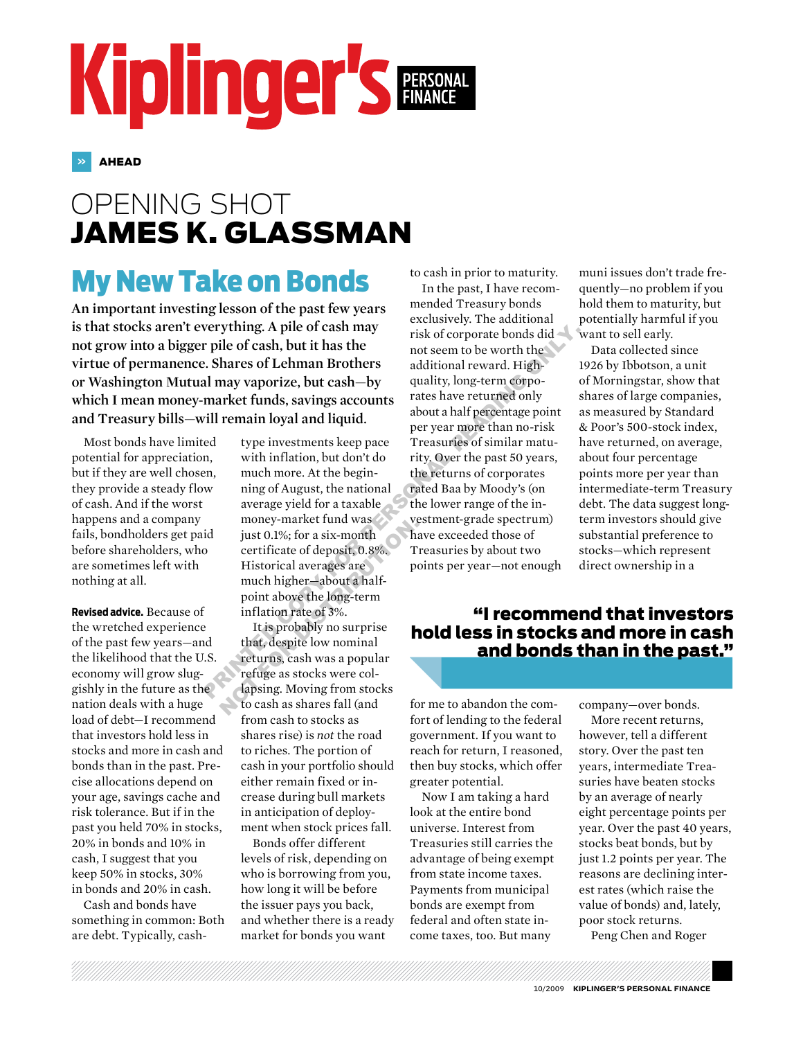# Kiplinger's PERSONAL

» AHEAD

## opening shot james k. glassman

## My New Take on Bonds

**An important investing lesson of the past few years is that stocks aren't everything. A pile of cash may not grow into a bigger pile of cash, but it has the virtue of permanence. Shares of Lehman Brothers or Washington Mutual may vaporize, but cash—by which I mean money-market funds, savings accounts and Treasury bills—will remain loyal and liquid.**

Most bonds have limited potential for appreciation, but if they are well chosen, they provide a steady flow of cash. And if the worst happens and a company fails, bondholders get paid before shareholders, who are sometimes left with nothing at all.

**Revised advice.** Because of the wretched experience of the past few years—and the likelihood that the U.S. economy will grow sluggishly in the future as the nation deals with a huge load of debt—I recommend that investors hold less in stocks and more in cash and bonds than in the past. Precise allocations depend on your age, savings cache and risk tolerance. But if in the past you held 70% in stocks, 20% in bonds and 10% in cash, I suggest that you keep 50% in stocks, 30% in bonds and 20% in cash.

Cash and bonds have something in common: Both are debt. Typically, cash-

type investments keep pace with inflation, but don't do much more. At the beginning of August, the national average yield for a taxable money-market fund was just 0.1%; for a six-month certificate of deposit, 0.8%. Historical averages are much higher—about a halfpoint above the long-term inflation rate of 3%. money-manket rund was<br>
just 0.1%; for a six-month<br>
certificate of deposit, 0.8%.<br>
Tistorical averages are<br>
much higher-about a half-<br>
point above the long-term<br>
inflation rate of 3%.<br>
It is probably no surprise<br>
that, desp

It is probably no surprise that, despite low nominal returns, cash was a popular refuge as stocks were collapsing. Moving from stocks to cash as shares fall (and from cash to stocks as shares rise) is *not* the road to riches. The portion of cash in your portfolio should either remain fixed or increase during bull markets in anticipation of deployment when stock prices fall.

Bonds offer different levels of risk, depending on who is borrowing from you, how long it will be before the issuer pays you back, and whether there is a ready market for bonds you want

to cash in prior to maturity.

In the past, I have recommended Treasury bonds exclusively. The additional risk of corporate bonds did not seem to be worth the additional reward. Highquality, long-term corporates have returned only about a half percentage point per year more than no-risk Treasuries of similar maturity. Over the past 50 years, the returns of corporates rated Baa by Moody's (on the lower range of the investment-grade spectrum) have exceeded those of Treasuries by about two points per year—not enough verything. A pile of cash may<br>
risk of corporate bonds did<br>
interval of cash, but it has the<br>
c. Shares of Lehman Brothers<br>
and itional Brothers<br>
and waporize, but cash—by<br>
quality, long-term corporate<br>
market funds, savin

muni issues don't trade frequently—no problem if you hold them to maturity, but potentially harmful if you want to sell early.

Data collected since 1926 by Ibbotson, a unit of Morningstar, show that shares of large companies, as measured by Standard & Poor's 500-stock index, have returned, on average, about four percentage points more per year than intermediate-term Treasury debt. The data suggest longterm investors should give substantial preference to stocks—which represent direct ownership in a

#### "I recommend that investors hold less in stocks and more in cash and bonds than in the past."

for me to abandon the comfort of lending to the federal government. If you want to reach for return, I reasoned, then buy stocks, which offer greater potential.

Now I am taking a hard look at the entire bond universe. Interest from Treasuries still carries the advantage of being exempt from state income taxes. Payments from municipal bonds are exempt from federal and often state income taxes, too. But many

company—over bonds.

More recent returns, however, tell a different story. Over the past ten years, intermediate Treasuries have beaten stocks by an average of nearly eight percentage points per year. Over the past 40 years, stocks beat bonds, but by just 1.2 points per year. The reasons are declining interest rates (which raise the value of bonds) and, lately, poor stock returns.

Peng Chen and Roger